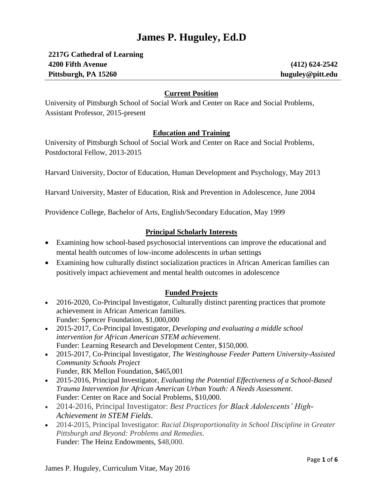# **James P. Huguley, Ed.D**

# **Current Position**

University of Pittsburgh School of Social Work and Center on Race and Social Problems, Assistant Professor, 2015-present

# **Education and Training**

University of Pittsburgh School of Social Work and Center on Race and Social Problems, Postdoctoral Fellow, 2013-2015

Harvard University, Doctor of Education, Human Development and Psychology, May 2013

Harvard University, Master of Education, Risk and Prevention in Adolescence, June 2004

Providence College, Bachelor of Arts, English/Secondary Education, May 1999

# **Principal Scholarly Interests**

- Examining how school-based psychosocial interventions can improve the educational and mental health outcomes of low-income adolescents in urban settings
- Examining how culturally distinct socialization practices in African American families can positively impact achievement and mental health outcomes in adolescence

# **Funded Projects**

- 2016-2020, Co-Principal Investigator, Culturally distinct parenting practices that promote achievement in African American families. Funder: Spencer Foundation, \$1,000,000
- 2015-2017, Co-Principal Investigator, *Developing and evaluating a middle school intervention for African American STEM achievement*. Funder: Learning Research and Development Center, \$150,000.
- 2015-2017, Co-Principal Investigator, *The Westinghouse Feeder Pattern University-Assisted Community Schools Project* Funder, RK Mellon Foundation, \$465,001
- 2015-2016, Principal Investigator, *Evaluating the Potential Effectiveness of a School-Based Trauma Intervention for African American Urban Youth: A Needs Assessment*. Funder: Center on Race and Social Problems, \$10,000.
- 2014-2016, Principal Investigator: *Best Practices for Black Adolescents' High-Achievement in STEM Fields*.
- 2014-2015, Principal Investigator: *Racial Disproportionality in School Discipline in Greater Pittsburgh and Beyond: Problems and Remedies*. Funder: The Heinz Endowments, \$48,000.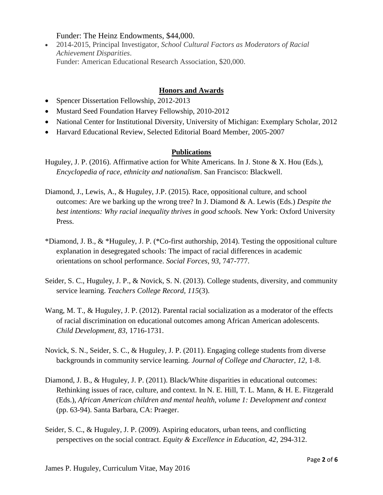Funder: The Heinz Endowments, \$44,000.

 2014-2015, Principal Investigator, *School Cultural Factors as Moderators of Racial Achievement Disparities*. Funder: American Educational Research Association, \$20,000.

# **Honors and Awards**

- Spencer Dissertation Fellowship, 2012-2013
- Mustard Seed Foundation Harvey Fellowship, 2010-2012
- National Center for Institutional Diversity, University of Michigan: Exemplary Scholar, 2012
- Harvard Educational Review, Selected Editorial Board Member, 2005-2007

#### **Publications**

- Diamond, J., Lewis, A., & Huguley, J.P. (2015). Race, oppositional culture, and school outcomes: Are we barking up the wrong tree? In J. Diamond & A. Lewis (Eds.) *Despite the best intentions: Why racial inequality thrives in good schools.* New York: Oxford University Press.
- \*Diamond, J. B., & \*Huguley, J. P. (\*Co-first authorship, 2014). Testing the oppositional culture explanation in desegregated schools: The impact of racial differences in academic orientations on school performance. *Social Forces, 93,* 747-777.
- Seider, S. C., Huguley, J. P., & Novick, S. N. (2013). College students, diversity, and community service learning. *Teachers College Record, 115*(3).
- Wang, M. T., & Huguley, J. P. (2012). Parental racial socialization as a moderator of the effects of racial discrimination on educational outcomes among African American adolescents. *Child Development, 83,* 1716-1731.
- Novick, S. N., Seider, S. C., & Huguley, J. P. (2011). Engaging college students from diverse backgrounds in community service learning. *Journal of College and Character, 12,* 1-8.
- Diamond, J. B., & Huguley, J. P. (2011). Black/White disparities in educational outcomes: Rethinking issues of race, culture, and context. In N. E. Hill, T. L. Mann, & H. E. Fitzgerald (Eds.), *African American children and mental health, volume 1: Development and context* (pp. 63-94). Santa Barbara, CA: Praeger.
- Seider, S. C., & Huguley, J. P. (2009). Aspiring educators, urban teens, and conflicting perspectives on the social contract. *Equity & Excellence in Education, 42,* 294-312.

Huguley, J. P. (2016). Affirmative action for White Americans. In J. Stone & X. Hou (Eds.), *Encyclopedia of race, ethnicity and nationalism*. San Francisco: Blackwell.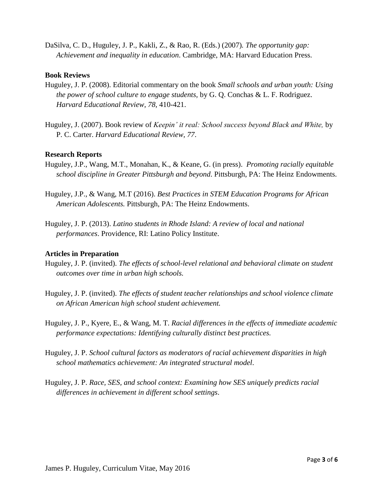DaSilva, C. D., Huguley, J. P., Kakli, Z., & Rao, R. (Eds.) (2007)*. The opportunity gap: Achievement and inequality in education*. Cambridge, MA: Harvard Education Press.

#### **Book Reviews**

- Huguley, J. P. (2008). Editorial commentary on the book *Small schools and urban youth: Using the power of school culture to engage students,* by G. Q. Conchas & L. F. Rodriguez. *Harvard Educational Review, 78,* 410-421.
- Huguley, J. (2007). Book review of *Keepin' it real: School success beyond Black and White,* by P. C. Carter. *Harvard Educational Review, 77*.

#### **Research Reports**

- Huguley, J.P., Wang, M.T., Monahan, K., & Keane, G. (in press). *Promoting racially equitable school discipline in Greater Pittsburgh and beyond*. Pittsburgh, PA: The Heinz Endowments.
- Huguley, J.P., & Wang, M.T (2016). *Best Practices in STEM Education Programs for African American Adolescents.* Pittsburgh, PA: The Heinz Endowments.
- Huguley, J. P. (2013). *Latino students in Rhode Island: A review of local and national performances*. Providence, RI: Latino Policy Institute.

#### **Articles in Preparation**

- Huguley, J. P. (invited). *The effects of school-level relational and behavioral climate on student outcomes over time in urban high schools.*
- Huguley, J. P. (invited). *The effects of student teacher relationships and school violence climate on African American high school student achievement.*
- Huguley, J. P., Kyere, E., & Wang, M. T. *Racial differences in the effects of immediate academic performance expectations: Identifying culturally distinct best practices.*
- Huguley, J. P. *School cultural factors as moderators of racial achievement disparities in high school mathematics achievement: An integrated structural model*.
- Huguley, J. P. *Race, SES, and school context: Examining how SES uniquely predicts racial differences in achievement in different school settings*.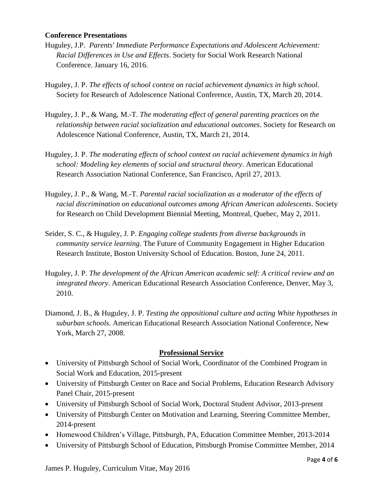# **Conference Presentations**

- Huguley, J.P. *Parents' Immediate Performance Expectations and Adolescent Achievement: Racial Differences in Use and Effects*. Society for Social Work Research National Conference. January 16, 2016.
- Huguley, J. P. *The effects of school context on racial achievement dynamics in high school.* Society for Research of Adolescence National Conference, Austin, TX, March 20, 2014.
- Huguley, J. P., & Wang, M.-T. *The moderating effect of general parenting practices on the relationship between racial socialization and educational outcomes*. Society for Research on Adolescence National Conference, Austin, TX, March 21, 2014.
- Huguley, J. P. *The moderating effects of school context on racial achievement dynamics in high school: Modeling key elements of social and structural theory*. American Educational Research Association National Conference, San Francisco, April 27, 2013.
- Huguley, J. P., & Wang, M.-T. *Parental racial socialization as a moderator of the effects of racial discrimination on educational outcomes among African American adolescents*. Society for Research on Child Development Biennial Meeting, Montreal, Quebec, May 2, 2011.
- Seider, S. C., & Huguley, J. P. *Engaging college students from diverse backgrounds in community service learning*. The Future of Community Engagement in Higher Education Research Institute, Boston University School of Education. Boston, June 24, 2011.
- Huguley, J. P. *The development of the African American academic self: A critical review and an integrated theory*. American Educational Research Association Conference, Denver, May 3, 2010.
- Diamond, J. B., & Huguley, J. P. *Testing the oppositional culture and acting White hypotheses in suburban schools*. American Educational Research Association National Conference, New York, March 27, 2008.

#### **Professional Service**

- University of Pittsburgh School of Social Work, Coordinator of the Combined Program in Social Work and Education, 2015-present
- University of Pittsburgh Center on Race and Social Problems, Education Research Advisory Panel Chair, 2015-present
- University of Pittsburgh School of Social Work, Doctoral Student Advisor, 2013-present
- University of Pittsburgh Center on Motivation and Learning, Steering Committee Member, 2014-present
- Homewood Children's Village, Pittsburgh, PA, Education Committee Member, 2013-2014
- University of Pittsburgh School of Education, Pittsburgh Promise Committee Member, 2014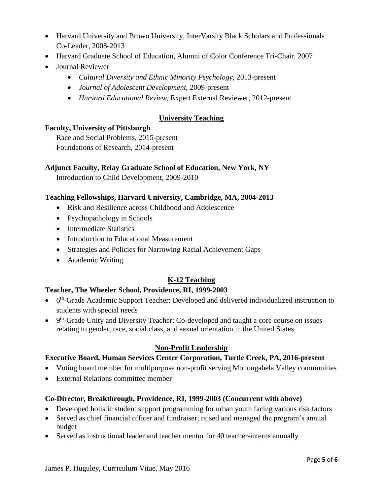- Harvard University and Brown University, InterVarsity Black Scholars and Professionals Co-Leader, 2008-2013
- Harvard Graduate School of Education, Alumni of Color Conference Tri-Chair, 2007
- Journal Reviewer
	- *Cultural Diversity and Ethnic Minority Psychology,* 2013-present
	- *Journal of Adolescent Development,* 2009-present
	- *Harvard Educational Review,* Expert External Reviewer, 2012-present

# **University Teaching**

# **Faculty, University of Pittsburgh**

Race and Social Problems, 2015-present Foundations of Research, 2014-present

# **Adjunct Faculty, Relay Graduate School of Education, New York, NY**

Introduction to Child Development, 2009-2010

#### **Teaching Fellowships, Harvard University, Cambridge, MA, 2004-2013**

- Risk and Resilience across Childhood and Adolescence
- Psychopathology in Schools
- Intermediate Statistics
- Introduction to Educational Measurement
- Strategies and Policies for Narrowing Racial Achievement Gaps
- Academic Writing

# **K-12 Teaching**

# **Teacher, The Wheeler School, Providence, RI, 1999-2003**

- 6<sup>th</sup>-Grade Academic Support Teacher: Developed and delivered individualized instruction to students with special needs
- 9<sup>th</sup>-Grade Unity and Diversity Teacher: Co-developed and taught a core course on issues relating to gender, race, social class, and sexual orientation in the United States

# **Non-Profit Leadership**

# **Executive Board, Human Services Center Corporation, Turtle Creek, PA, 2016-present**

- Voting board member for multipurpose non-profit serving Monongahela Valley communities
- External Relations committee member

# **Co-Director, Breakthrough, Providence, RI, 1999-2003 (Concurrent with above)**

- Developed holistic student support programming for urban youth facing various risk factors
- Served as chief financial officer and fundraiser; raised and managed the program's annual budget
- Served as instructional leader and teacher mentor for 40 teacher-interns annually